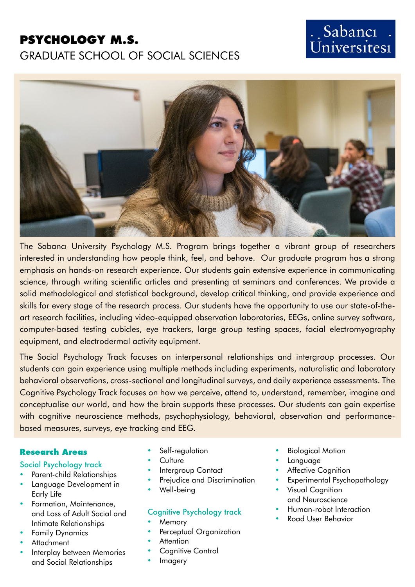## **PSYCHOLOGY M.S.**

## GRADUATE SCHOOL OF SOCIAL SCIENCES

# Sabancı *i* bubuner :



The Sabancı University Psychology M.S. Program brings together a vibrant group of researchers interested in understanding how people think, feel, and behave. Our graduate program has a strong emphasis on hands-on research experience. Our students gain extensive experience in communicating science, through writing scientific articles and presenting at seminars and conferences. We provide a solid methodological and statistical background, develop critical thinking, and provide experience and skills for every stage of the research process. Our students have the opportunity to use our state-of-theart research facilities, including video-equipped observation laboratories, EEGs, online survey software, computer-based testing cubicles, eye trackers, large group testing spaces, facial electromyography equipment, and electrodermal activity equipment.

The Social Psychology Track focuses on interpersonal relationships and intergroup processes. Our students can gain experience using multiple methods including experiments, naturalistic and laboratory behavioral observations, cross-sectional and longitudinal surveys, and daily experience assessments. The Cognitive Psychology Track focuses on how we perceive, attend to, understand, remember, imagine and conceptualise our world, and how the brain supports these processes. Our students can gain expertise with cognitive neuroscience methods, psychophysiology, behavioral, observation and performancebased measures, surveys, eye tracking and EEG.

#### **Research Areas**

#### Social Psychology track

- Parent-child Relationships
- Language Development in Early Life
- Formation, Maintenance, and Loss of Adult Social and Intimate Relationships
- **Family Dynamics**
- **Attachment**
- Interplay between Memories and Social Relationships
- Self-regulation
- **Culture**
- Intergroup Contact
- Prejudice and Discrimination
- Well-being

### Cognitive Psychology track

- **Memory**
- Perceptual Organization
- **Attention**
- Cognitive Control
- **Imagery**
- **Biological Motion**
- Language
- **Affective Cognition**
- Experimental Psychopathology
- **Visual Cognition** and Neuroscience
- • Human-robot Interaction
- Road User Behavior